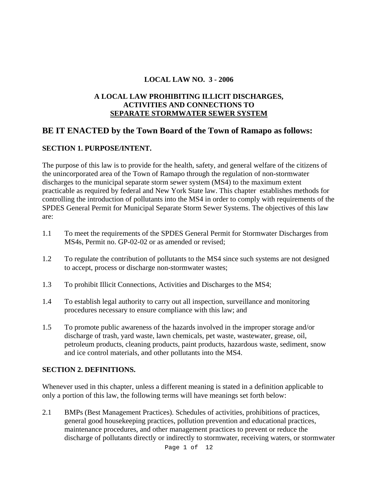#### **LOCAL LAW NO. 3 - 2006**

#### **A LOCAL LAW PROHIBITING ILLICIT DISCHARGES, ACTIVITIES AND CONNECTIONS TO SEPARATE STORMWATER SEWER SYSTEM**

# **BE IT ENACTED by the Town Board of the Town of Ramapo as follows:**

## **SECTION 1. PURPOSE/INTENT.**

The purpose of this law is to provide for the health, safety, and general welfare of the citizens of the unincorporated area of the Town of Ramapo through the regulation of non-stormwater discharges to the municipal separate storm sewer system (MS4) to the maximum extent practicable as required by federal and New York State law. This chapter establishes methods for controlling the introduction of pollutants into the MS4 in order to comply with requirements of the SPDES General Permit for Municipal Separate Storm Sewer Systems. The objectives of this law are:

- 1.1 To meet the requirements of the SPDES General Permit for Stormwater Discharges from MS4s, Permit no. GP-02-02 or as amended or revised;
- 1.2 To regulate the contribution of pollutants to the MS4 since such systems are not designed to accept, process or discharge non-stormwater wastes;
- 1.3 To prohibit Illicit Connections, Activities and Discharges to the MS4;
- 1.4 To establish legal authority to carry out all inspection, surveillance and monitoring procedures necessary to ensure compliance with this law; and
- 1.5 To promote public awareness of the hazards involved in the improper storage and/or discharge of trash, yard waste, lawn chemicals, pet waste, wastewater, grease, oil, petroleum products, cleaning products, paint products, hazardous waste, sediment, snow and ice control materials, and other pollutants into the MS4.

## **SECTION 2. DEFINITIONS.**

Whenever used in this chapter, unless a different meaning is stated in a definition applicable to only a portion of this law, the following terms will have meanings set forth below:

2.1 BMPs (Best Management Practices). Schedules of activities, prohibitions of practices, general good housekeeping practices, pollution prevention and educational practices, maintenance procedures, and other management practices to prevent or reduce the discharge of pollutants directly or indirectly to stormwater, receiving waters, or stormwater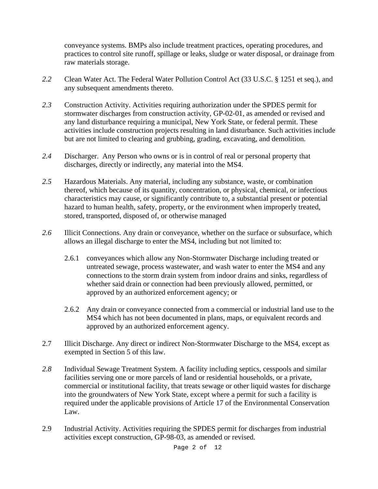conveyance systems. BMPs also include treatment practices, operating procedures, and practices to control site runoff, spillage or leaks, sludge or water disposal, or drainage from raw materials storage.

- *2.2* Clean Water Act. The Federal Water Pollution Control Act (33 U.S.C. § 1251 et seq.), and any subsequent amendments thereto.
- *2.3* Construction Activity. Activities requiring authorization under the SPDES permit for stormwater discharges from construction activity, GP-02-01, as amended or revised and any land disturbance requiring a municipal, New York State, or federal permit. These activities include construction projects resulting in land disturbance. Such activities include but are not limited to clearing and grubbing, grading, excavating, and demolition.
- *2.4* Discharger. Any Person who owns or is in control of real or personal property that discharges, directly or indirectly, any material into the MS4.
- *2.5* Hazardous Materials. Any material, including any substance, waste, or combination thereof, which because of its quantity, concentration, or physical, chemical, or infectious characteristics may cause, or significantly contribute to, a substantial present or potential hazard to human health, safety, property, or the environment when improperly treated, stored, transported, disposed of, or otherwise managed
- *2.6* Illicit Connections. Any drain or conveyance, whether on the surface or subsurface, which allows an illegal discharge to enter the MS4, including but not limited to:
	- 2.6.1 conveyances which allow any Non-Stormwater Discharge including treated or untreated sewage, process wastewater, and wash water to enter the MS4 and any connections to the storm drain system from indoor drains and sinks, regardless of whether said drain or connection had been previously allowed, permitted, or approved by an authorized enforcement agency; or
	- 2.6.2 Any drain or conveyance connected from a commercial or industrial land use to the MS4 which has not been documented in plans, maps, or equivalent records and approved by an authorized enforcement agency.
- 2.7 Illicit Discharge. Any direct or indirect Non-Stormwater Discharge to the MS4, except as exempted in Section 5 of this law.
- *2.8* Individual Sewage Treatment System. A facility including septics, cesspools and similar facilities serving one or more parcels of land or residential households, or a private, commercial or institutional facility, that treats sewage or other liquid wastes for discharge into the groundwaters of New York State, except where a permit for such a facility is required under the applicable provisions of Article 17 of the Environmental Conservation Law.
- 2.9 Industrial Activity. Activities requiring the SPDES permit for discharges from industrial activities except construction, GP-98-03, as amended or revised.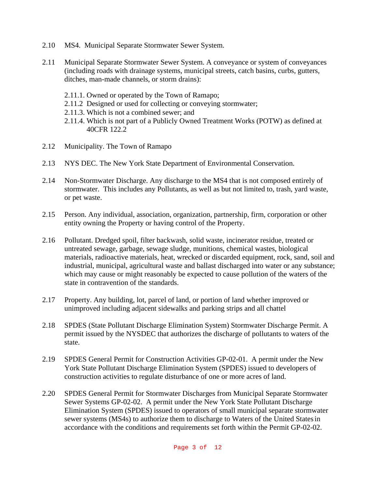- 2.10 MS4. Municipal Separate Stormwater Sewer System.
- 2.11 Municipal Separate Stormwater Sewer System. A conveyance or system of conveyances (including roads with drainage systems, municipal streets, catch basins, curbs, gutters, ditches, man-made channels, or storm drains):
	- 2.11.1. Owned or operated by the Town of Ramapo;
	- 2.11.2 Designed or used for collecting or conveying stormwater;
	- 2.11.3. Which is not a combined sewer; and
	- 2.11.4. Which is not part of a Publicly Owned Treatment Works (POTW) as defined at 40CFR 122.2
- 2.12 Municipality. The Town of Ramapo
- 2.13 NYS DEC. The New York State Department of Environmental Conservation.
- 2.14 Non-Stormwater Discharge. Any discharge to the MS4 that is not composed entirely of stormwater. This includes any Pollutants, as well as but not limited to, trash, yard waste, or pet waste.
- 2.15 Person. Any individual, association, organization, partnership, firm, corporation or other entity owning the Property or having control of the Property.
- 2.16 Pollutant. Dredged spoil, filter backwash, solid waste, incinerator residue, treated or untreated sewage, garbage, sewage sludge, munitions, chemical wastes, biological materials, radioactive materials, heat, wrecked or discarded equipment, rock, sand, soil and industrial, municipal, agricultural waste and ballast discharged into water or any substance; which may cause or might reasonably be expected to cause pollution of the waters of the state in contravention of the standards.
- 2.17 Property. Any building, lot, parcel of land, or portion of land whether improved or unimproved including adjacent sidewalks and parking strips and all chattel
- 2.18 SPDES (State Pollutant Discharge Elimination System) Stormwater Discharge Permit. A permit issued by the NYSDEC that authorizes the discharge of pollutants to waters of the state.
- 2.19 SPDES General Permit for Construction Activities GP-02-01. A permit under the New York State Pollutant Discharge Elimination System (SPDES) issued to developers of construction activities to regulate disturbance of one or more acres of land.
- 2.20 SPDES General Permit for Stormwater Discharges from Municipal Separate Stormwater Sewer Systems GP-02-02. A permit under the New York State Pollutant Discharge Elimination System (SPDES) issued to operators of small municipal separate stormwater sewer systems (MS4s) to authorize them to discharge to Waters of the United Statesin accordance with the conditions and requirements set forth within the Permit GP-02-02.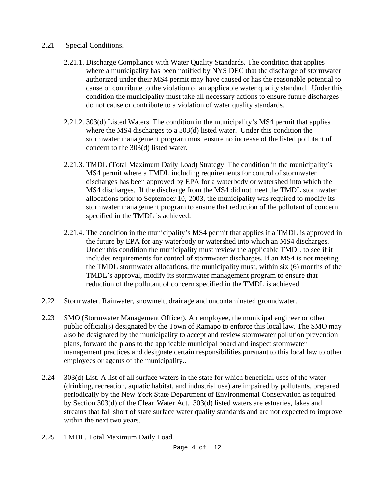#### 2.21 Special Conditions.

- 2.21.1. Discharge Compliance with Water Quality Standards. The condition that applies where a municipality has been notified by NYS DEC that the discharge of stormwater authorized under their MS4 permit may have caused or has the reasonable potential to cause or contribute to the violation of an applicable water quality standard. Under this condition the municipality must take all necessary actions to ensure future discharges do not cause or contribute to a violation of water quality standards.
- 2.21.2. 303(d) Listed Waters. The condition in the municipality's MS4 permit that applies where the MS4 discharges to a 303(d) listed water. Under this condition the stormwater management program must ensure no increase of the listed pollutant of concern to the 303(d) listed water.
- 2.21.3. TMDL (Total Maximum Daily Load) Strategy. The condition in the municipality's MS4 permit where a TMDL including requirements for control of stormwater discharges has been approved by EPA for a waterbody or watershed into which the MS4 discharges. If the discharge from the MS4 did not meet the TMDL stormwater allocations prior to September 10, 2003, the municipality was required to modify its stormwater management program to ensure that reduction of the pollutant of concern specified in the TMDL is achieved.
- 2.21.4. The condition in the municipality's MS4 permit that applies if a TMDL is approved in the future by EPA for any waterbody or watershed into which an MS4 discharges. Under this condition the municipality must review the applicable TMDL to see if it includes requirements for control of stormwater discharges. If an MS4 is not meeting the TMDL stormwater allocations, the municipality must, within six (6) months of the TMDL's approval, modify its stormwater management program to ensure that reduction of the pollutant of concern specified in the TMDL is achieved.
- 2.22 Stormwater. Rainwater, snowmelt, drainage and uncontaminated groundwater.
- 2.23 SMO (Stormwater Management Officer). An employee, the municipal engineer or other public official(s) designated by the Town of Ramapo to enforce this local law. The SMO may also be designated by the municipality to accept and review stormwater pollution prevention plans, forward the plans to the applicable municipal board and inspect stormwater management practices and designate certain responsibilities pursuant to this local law to other employees or agents of the municipality..
- 2.24 303(d) List. A list of all surface waters in the state for which beneficial uses of the water (drinking, recreation, aquatic habitat, and industrial use) are impaired by pollutants, prepared periodically by the New York State Department of Environmental Conservation as required by Section 303(d) of the Clean Water Act. 303(d) listed waters are estuaries, lakes and streams that fall short of state surface water quality standards and are not expected to improve within the next two years.
- 2.25 TMDL. Total Maximum Daily Load.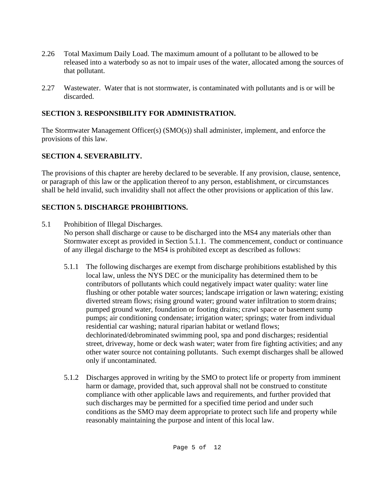- 2.26 Total Maximum Daily Load. The maximum amount of a pollutant to be allowed to be released into a waterbody so as not to impair uses of the water, allocated among the sources of that pollutant.
- 2.27 Wastewater. Water that is not stormwater, is contaminated with pollutants and is or will be discarded.

## **SECTION 3. RESPONSIBILITY FOR ADMINISTRATION.**

The Stormwater Management Officer(s) (SMO(s)) shall administer, implement, and enforce the provisions of this law.

# **SECTION 4. SEVERABILITY.**

The provisions of this chapter are hereby declared to be severable. If any provision, clause, sentence, or paragraph of this law or the application thereof to any person, establishment, or circumstances shall be held invalid, such invalidity shall not affect the other provisions or application of this law.

# **SECTION 5. DISCHARGE PROHIBITIONS.**

5.1 Prohibition of Illegal Discharges.

No person shall discharge or cause to be discharged into the MS4 any materials other than Stormwater except as provided in Section 5.1.1. The commencement, conduct or continuance of any illegal discharge to the MS4 is prohibited except as described as follows:

- 5.1.1 The following discharges are exempt from discharge prohibitions established by this local law, unless the NYS DEC or the municipality has determined them to be contributors of pollutants which could negatively impact water quality: water line flushing or other potable water sources; landscape irrigation or lawn watering; existing diverted stream flows; rising ground water; ground water infiltration to storm drains; pumped ground water, foundation or footing drains; crawl space or basement sump pumps; air conditioning condensate; irrigation water; springs; water from individual residential car washing; natural riparian habitat or wetland flows; dechlorinated/debrominated swimming pool, spa and pond discharges; residential street, driveway, home or deck wash water; water from fire fighting activities; and any other water source not containing pollutants. Such exempt discharges shall be allowed only if uncontaminated.
- 5.1.2 Discharges approved in writing by the SMO to protect life or property from imminent harm or damage, provided that, such approval shall not be construed to constitute compliance with other applicable laws and requirements, and further provided that such discharges may be permitted for a specified time period and under such conditions as the SMO may deem appropriate to protect such life and property while reasonably maintaining the purpose and intent of this local law.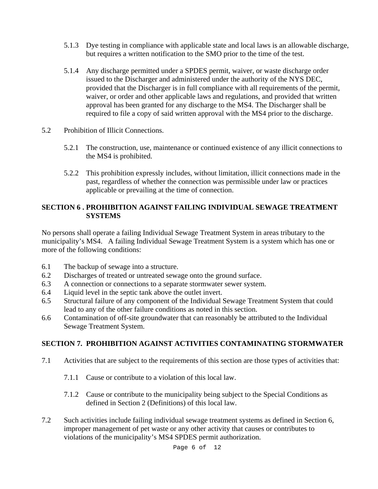- 5.1.3 Dye testing in compliance with applicable state and local laws is an allowable discharge, but requires a written notification to the SMO prior to the time of the test.
- 5.1.4 Any discharge permitted under a SPDES permit, waiver, or waste discharge order issued to the Discharger and administered under the authority of the NYS DEC, provided that the Discharger is in full compliance with all requirements of the permit, waiver, or order and other applicable laws and regulations, and provided that written approval has been granted for any discharge to the MS4. The Discharger shall be required to file a copy of said written approval with the MS4 prior to the discharge.
- 5.2 Prohibition of Illicit Connections.
	- 5.2.1 The construction, use, maintenance or continued existence of any illicit connections to the MS4 is prohibited.
	- 5.2.2 This prohibition expressly includes, without limitation, illicit connections made in the past, regardless of whether the connection was permissible under law or practices applicable or prevailing at the time of connection.

#### **SECTION 6 . PROHIBITION AGAINST FAILING INDIVIDUAL SEWAGE TREATMENT SYSTEMS**

No persons shall operate a failing Individual Sewage Treatment System in areas tributary to the municipality's MS4. A failing Individual Sewage Treatment System is a system which has one or more of the following conditions:

- 6.1 The backup of sewage into a structure.
- 6.2 Discharges of treated or untreated sewage onto the ground surface.
- 6.3 A connection or connections to a separate stormwater sewer system.
- 6.4 Liquid level in the septic tank above the outlet invert.
- 6.5 Structural failure of any component of the Individual Sewage Treatment System that could lead to any of the other failure conditions as noted in this section.
- 6.6 Contamination of off-site groundwater that can reasonably be attributed to the Individual Sewage Treatment System.

## **SECTION 7. PROHIBITION AGAINST ACTIVITIES CONTAMINATING STORMWATER**

- 7.1 Activities that are subject to the requirements of this section are those types of activities that:
	- 7.1.1 Cause or contribute to a violation of this local law.
	- 7.1.2 Cause or contribute to the municipality being subject to the Special Conditions as defined in Section 2 (Definitions) of this local law.
- 7.2 Such activities include failing individual sewage treatment systems as defined in Section 6, improper management of pet waste or any other activity that causes or contributes to violations of the municipality's MS4 SPDES permit authorization.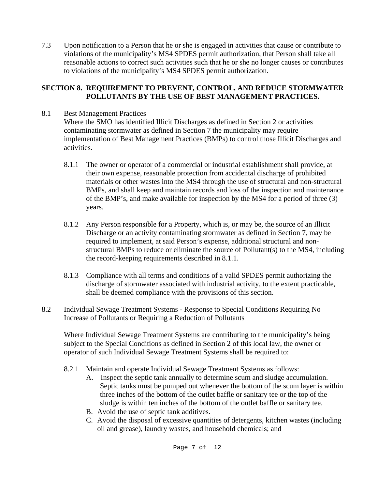7.3 Upon notification to a Person that he or she is engaged in activities that cause or contribute to violations of the municipality's MS4 SPDES permit authorization, that Person shall take all reasonable actions to correct such activities such that he or she no longer causes or contributes to violations of the municipality's MS4 SPDES permit authorization.

#### **SECTION 8. REQUIREMENT TO PREVENT, CONTROL, AND REDUCE STORMWATER POLLUTANTS BY THE USE OF BEST MANAGEMENT PRACTICES.**

8.1 Best Management Practices

 Where the SMO has identified Illicit Discharges as defined in Section 2 or activities contaminating stormwater as defined in Section 7 the municipality may require implementation of Best Management Practices (BMPs) to control those Illicit Discharges and activities.

- 8.1.1 The owner or operator of a commercial or industrial establishment shall provide, at their own expense, reasonable protection from accidental discharge of prohibited materials or other wastes into the MS4 through the use of structural and non-structural BMPs, and shall keep and maintain records and loss of the inspection and maintenance of the BMP's, and make available for inspection by the MS4 for a period of three (3) years.
- 8.1.2 Any Person responsible for a Property, which is, or may be, the source of an Illicit Discharge or an activity contaminating stormwater as defined in Section 7, may be required to implement, at said Person's expense, additional structural and nonstructural BMPs to reduce or eliminate the source of Pollutant(s) to the MS4, including the record-keeping requirements described in 8.1.1.
- 8.1.3 Compliance with all terms and conditions of a valid SPDES permit authorizing the discharge of stormwater associated with industrial activity, to the extent practicable, shall be deemed compliance with the provisions of this section.
- 8.2 Individual Sewage Treatment Systems Response to Special Conditions Requiring No Increase of Pollutants or Requiring a Reduction of Pollutants

Where Individual Sewage Treatment Systems are contributing to the municipality's being subject to the Special Conditions as defined in Section 2 of this local law, the owner or operator of such Individual Sewage Treatment Systems shall be required to:

- 8.2.1 Maintain and operate Individual Sewage Treatment Systems as follows:
	- A. Inspect the septic tank annually to determine scum and sludge accumulation. Septic tanks must be pumped out whenever the bottom of the scum layer is within three inches of the bottom of the outlet baffle or sanitary tee or the top of the sludge is within ten inches of the bottom of the outlet baffle or sanitary tee.
	- B. Avoid the use of septic tank additives.
	- C. Avoid the disposal of excessive quantities of detergents, kitchen wastes (including oil and grease), laundry wastes, and household chemicals; and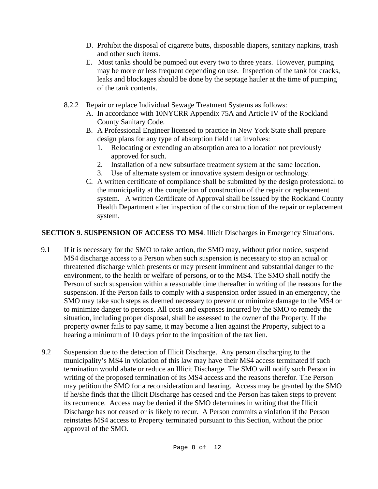- D. Prohibit the disposal of cigarette butts, disposable diapers, sanitary napkins, trash and other such items.
- E. Most tanks should be pumped out every two to three years. However, pumping may be more or less frequent depending on use. Inspection of the tank for cracks, leaks and blockages should be done by the septage hauler at the time of pumping of the tank contents.
- 8.2.2 Repair or replace Individual Sewage Treatment Systems as follows:
	- A. In accordance with 10NYCRR Appendix 75A and Article IV of the Rockland County Sanitary Code.
	- B. A Professional Engineer licensed to practice in New York State shall prepare design plans for any type of absorption field that involves:
		- 1. Relocating or extending an absorption area to a location not previously approved for such.
		- 2. Installation of a new subsurface treatment system at the same location.
		- 3. Use of alternate system or innovative system design or technology.
	- C. A written certificate of compliance shall be submitted by the design professional to the municipality at the completion of construction of the repair or replacement system. A written Certificate of Approval shall be issued by the Rockland County Health Department after inspection of the construction of the repair or replacement system.

### **SECTION 9. SUSPENSION OF ACCESS TO MS4**. Illicit Discharges in Emergency Situations.

- 9.1 If it is necessary for the SMO to take action, the SMO may, without prior notice, suspend MS4 discharge access to a Person when such suspension is necessary to stop an actual or threatened discharge which presents or may present imminent and substantial danger to the environment, to the health or welfare of persons, or to the MS4. The SMO shall notify the Person of such suspension within a reasonable time thereafter in writing of the reasons for the suspension. If the Person fails to comply with a suspension order issued in an emergency, the SMO may take such steps as deemed necessary to prevent or minimize damage to the MS4 or to minimize danger to persons. All costs and expenses incurred by the SMO to remedy the situation, including proper disposal, shall be assessed to the owner of the Property. If the property owner fails to pay same, it may become a lien against the Property, subject to a hearing a minimum of 10 days prior to the imposition of the tax lien.
- 9.2 Suspension due to the detection of Illicit Discharge. Any person discharging to the municipality's MS4 in violation of this law may have their MS4 access terminated if such termination would abate or reduce an Illicit Discharge. The SMO will notify such Person in writing of the proposed termination of its MS4 access and the reasons therefor. The Person may petition the SMO for a reconsideration and hearing. Access may be granted by the SMO if he/she finds that the Illicit Discharge has ceased and the Person has taken steps to prevent its recurrence. Access may be denied if the SMO determines in writing that the Illicit Discharge has not ceased or is likely to recur. A Person commits a violation if the Person reinstates MS4 access to Property terminated pursuant to this Section, without the prior approval of the SMO.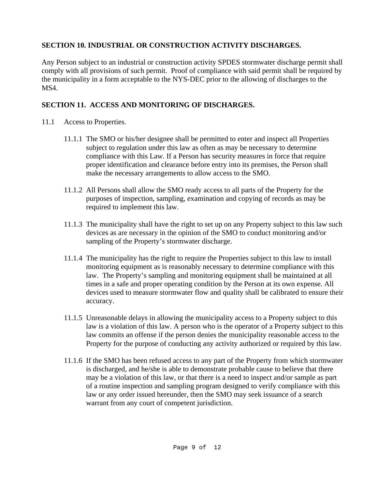### **SECTION 10. INDUSTRIAL OR CONSTRUCTION ACTIVITY DISCHARGES.**

Any Person subject to an industrial or construction activity SPDES stormwater discharge permit shall comply with all provisions of such permit. Proof of compliance with said permit shall be required by the municipality in a form acceptable to the NYS-DEC prior to the allowing of discharges to the MS4.

### **SECTION 11. ACCESS AND MONITORING OF DISCHARGES.**

- 11.1 Access to Properties.
	- 11.1.1 The SMO or his/her designee shall be permitted to enter and inspect all Properties subject to regulation under this law as often as may be necessary to determine compliance with this Law. If a Person has security measures in force that require proper identification and clearance before entry into its premises, the Person shall make the necessary arrangements to allow access to the SMO.
	- 11.1.2 All Persons shall allow the SMO ready access to all parts of the Property for the purposes of inspection, sampling, examination and copying of records as may be required to implement this law.
	- 11.1.3 The municipality shall have the right to set up on any Property subject to this law such devices as are necessary in the opinion of the SMO to conduct monitoring and/or sampling of the Property's stormwater discharge.
	- 11.1.4 The municipality has the right to require the Properties subject to this law to install monitoring equipment as is reasonably necessary to determine compliance with this law. The Property's sampling and monitoring equipment shall be maintained at all times in a safe and proper operating condition by the Person at its own expense. All devices used to measure stormwater flow and quality shall be calibrated to ensure their accuracy.
	- 11.1.5 Unreasonable delays in allowing the municipality access to a Property subject to this law is a violation of this law. A person who is the operator of a Property subject to this law commits an offense if the person denies the municipality reasonable access to the Property for the purpose of conducting any activity authorized or required by this law.
	- 11.1.6 If the SMO has been refused access to any part of the Property from which stormwater is discharged, and he/she is able to demonstrate probable cause to believe that there may be a violation of this law, or that there is a need to inspect and/or sample as part of a routine inspection and sampling program designed to verify compliance with this law or any order issued hereunder, then the SMO may seek issuance of a search warrant from any court of competent jurisdiction.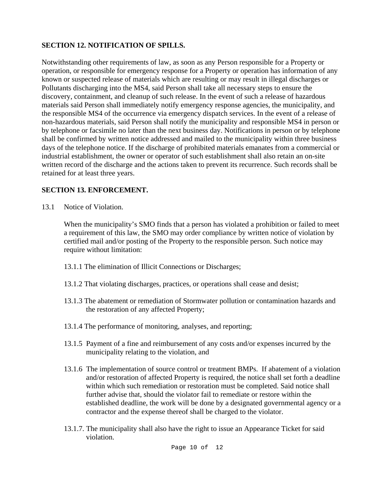#### **SECTION 12. NOTIFICATION OF SPILLS.**

Notwithstanding other requirements of law, as soon as any Person responsible for a Property or operation, or responsible for emergency response for a Property or operation has information of any known or suspected release of materials which are resulting or may result in illegal discharges or Pollutants discharging into the MS4, said Person shall take all necessary steps to ensure the discovery, containment, and cleanup of such release. In the event of such a release of hazardous materials said Person shall immediately notify emergency response agencies, the municipality, and the responsible MS4 of the occurrence via emergency dispatch services. In the event of a release of non-hazardous materials, said Person shall notify the municipality and responsible MS4 in person or by telephone or facsimile no later than the next business day. Notifications in person or by telephone shall be confirmed by written notice addressed and mailed to the municipality within three business days of the telephone notice. If the discharge of prohibited materials emanates from a commercial or industrial establishment, the owner or operator of such establishment shall also retain an on-site written record of the discharge and the actions taken to prevent its recurrence. Such records shall be retained for at least three years.

## **SECTION 13. ENFORCEMENT.**

13.1 Notice of Violation.

 When the municipality's SMO finds that a person has violated a prohibition or failed to meet a requirement of this law, the SMO may order compliance by written notice of violation by certified mail and/or posting of the Property to the responsible person. Such notice may require without limitation:

- 13.1.1 The elimination of Illicit Connections or Discharges;
- 13.1.2 That violating discharges, practices, or operations shall cease and desist;
- 13.1.3 The abatement or remediation of Stormwater pollution or contamination hazards and the restoration of any affected Property;
- 13.1.4 The performance of monitoring, analyses, and reporting;
- 13.1.5 Payment of a fine and reimbursement of any costs and/or expenses incurred by the municipality relating to the violation, and
- 13.1.6 The implementation of source control or treatment BMPs. If abatement of a violation and/or restoration of affected Property is required, the notice shall set forth a deadline within which such remediation or restoration must be completed. Said notice shall further advise that, should the violator fail to remediate or restore within the established deadline, the work will be done by a designated governmental agency or a contractor and the expense thereof shall be charged to the violator.
- 13.1.7. The municipality shall also have the right to issue an Appearance Ticket for said violation.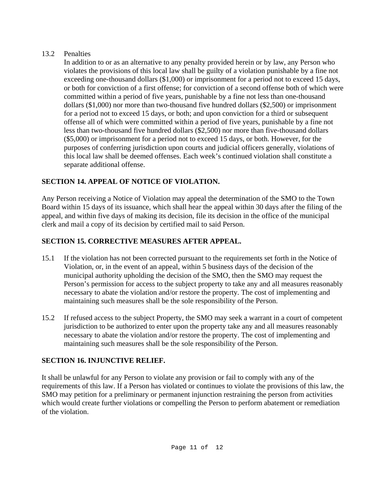### 13.2 Penalties

In addition to or as an alternative to any penalty provided herein or by law, any Person who violates the provisions of this local law shall be guilty of a violation punishable by a fine not exceeding one-thousand dollars (\$1,000) or imprisonment for a period not to exceed 15 days, or both for conviction of a first offense; for conviction of a second offense both of which were committed within a period of five years, punishable by a fine not less than one-thousand dollars (\$1,000) nor more than two-thousand five hundred dollars (\$2,500) or imprisonment for a period not to exceed 15 days, or both; and upon conviction for a third or subsequent offense all of which were committed within a period of five years, punishable by a fine not less than two-thousand five hundred dollars (\$2,500) nor more than five-thousand dollars (\$5,000) or imprisonment for a period not to exceed 15 days, or both. However, for the purposes of conferring jurisdiction upon courts and judicial officers generally, violations of this local law shall be deemed offenses. Each week's continued violation shall constitute a separate additional offense.

# **SECTION 14. APPEAL OF NOTICE OF VIOLATION.**

Any Person receiving a Notice of Violation may appeal the determination of the SMO to the Town Board within 15 days of its issuance, which shall hear the appeal within 30 days after the filing of the appeal, and within five days of making its decision, file its decision in the office of the municipal clerk and mail a copy of its decision by certified mail to said Person.

# **SECTION 15. CORRECTIVE MEASURES AFTER APPEAL.**

- 15.1 If the violation has not been corrected pursuant to the requirements set forth in the Notice of Violation, or, in the event of an appeal, within 5 business days of the decision of the municipal authority upholding the decision of the SMO, then the SMO may request the Person's permission for access to the subject property to take any and all measures reasonably necessary to abate the violation and/or restore the property*.* The cost of implementing and maintaining such measures shall be the sole responsibility of the Person.
- 15.2 If refused access to the subject Property, the SMO may seek a warrant in a court of competent jurisdiction to be authorized to enter upon the property take any and all measures reasonably necessary to abate the violation and/or restore the property. The cost of implementing and maintaining such measures shall be the sole responsibility of the Person.

## **SECTION 16. INJUNCTIVE RELIEF.**

It shall be unlawful for any Person to violate any provision or fail to comply with any of the requirements of this law. If a Person has violated or continues to violate the provisions of this law, the SMO may petition for a preliminary or permanent injunction restraining the person from activities which would create further violations or compelling the Person to perform abatement or remediation of the violation.